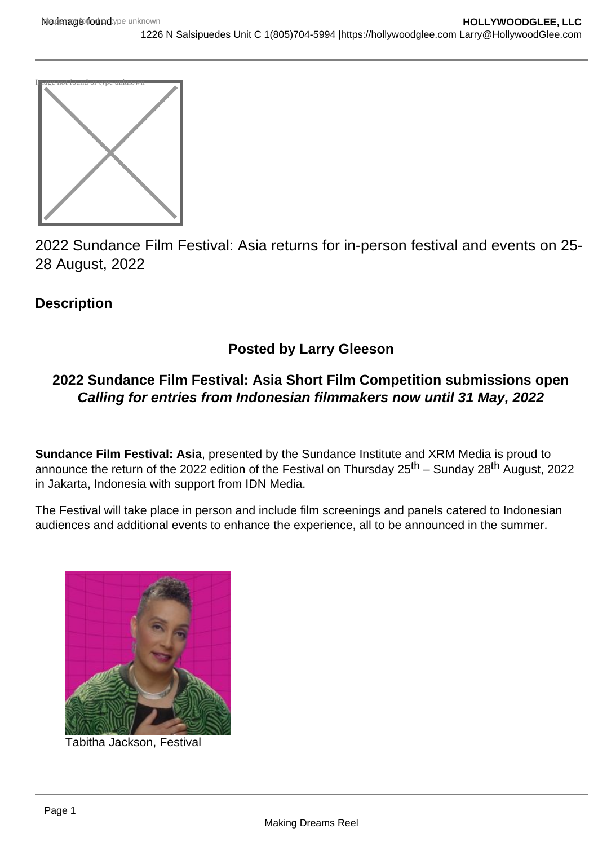

2022 Sundance Film Festival: Asia returns for in-person festival and events on 25- 28 August, 2022

**Description** 

# Posted by Larry Gleeson

# 2022 Sundance Film Festival: Asia Short Film Competition submissions open Calling for entries from Indonesian filmmakers now until 31 May, 2022

Sundance Film Festival: Asia , presented by the Sundance Institute and XRM Media is proud to announce the return of the 2022 edition of the Festival on Thursday 25th – Sunday 28th August, 2022 in Jakarta, Indonesia with support from IDN Media.

The Festival will take place in person and include film screenings and panels catered to Indonesian audiences and additional events to enhance the experience, all to be announced in the summer.

Tabitha Jackson, Festival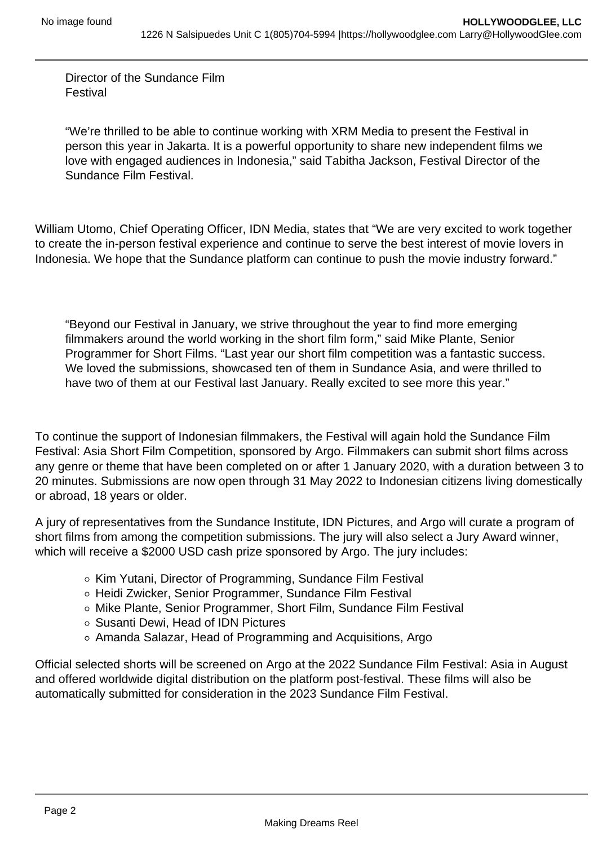Director of the Sundance Film Festival

"We're thrilled to be able to continue working with XRM Media to present the Festival in person this year in Jakarta. It is a powerful opportunity to share new independent films we love with engaged audiences in Indonesia," said Tabitha Jackson, Festival Director of the Sundance Film Festival.

William Utomo, Chief Operating Officer, IDN Media, states that "We are very excited to work together to create the in-person festival experience and continue to serve the best interest of movie lovers in Indonesia. We hope that the Sundance platform can continue to push the movie industry forward."

"Beyond our Festival in January, we strive throughout the year to find more emerging filmmakers around the world working in the short film form," said Mike Plante, Senior Programmer for Short Films. "Last year our short film competition was a fantastic success. We loved the submissions, showcased ten of them in Sundance Asia, and were thrilled to have two of them at our Festival last January. Really excited to see more this year."

To continue the support of Indonesian filmmakers, the Festival will again hold the Sundance Film Festival: Asia Short Film Competition, sponsored by Argo. Filmmakers can submit short films across any genre or theme that have been completed on or after 1 January 2020, with a duration between 3 to 20 minutes. Submissions are now open through 31 May 2022 to Indonesian citizens living domestically or abroad, 18 years or older.

A jury of representatives from the Sundance Institute, IDN Pictures, and Argo will curate a program of short films from among the competition submissions. The jury will also select a Jury Award winner, which will receive a \$2000 USD cash prize sponsored by Argo. The jury includes:

- o Kim Yutani, Director of Programming, Sundance Film Festival
- Heidi Zwicker, Senior Programmer, Sundance Film Festival
- o Mike Plante, Senior Programmer, Short Film, Sundance Film Festival
- Susanti Dewi, Head of IDN Pictures
- Amanda Salazar, Head of Programming and Acquisitions, Argo

Official selected shorts will be screened on Argo at the 2022 Sundance Film Festival: Asia in August and offered worldwide digital distribution on the platform post-festival. These films will also be automatically submitted for consideration in the 2023 Sundance Film Festival.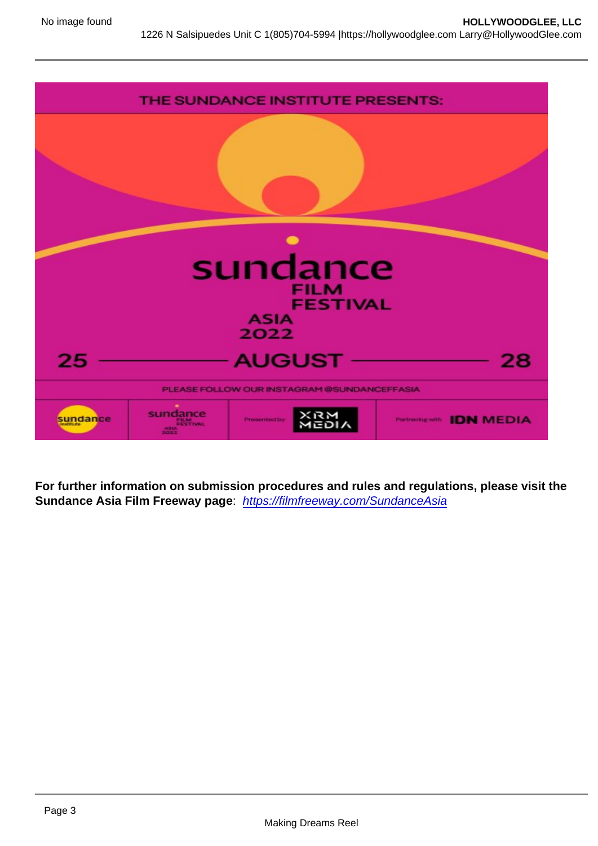For further information on submission procedures and rules and regulations, please visit the Sundance Asia Film Freeway page : [https://filmfreeway.com/SundanceAsia](https://sundance.us10.list-manage.com/track/click?u=d2b7ca60af6d00b0be91a01af&id=be66a1a2b1&e=88c082a0a1)